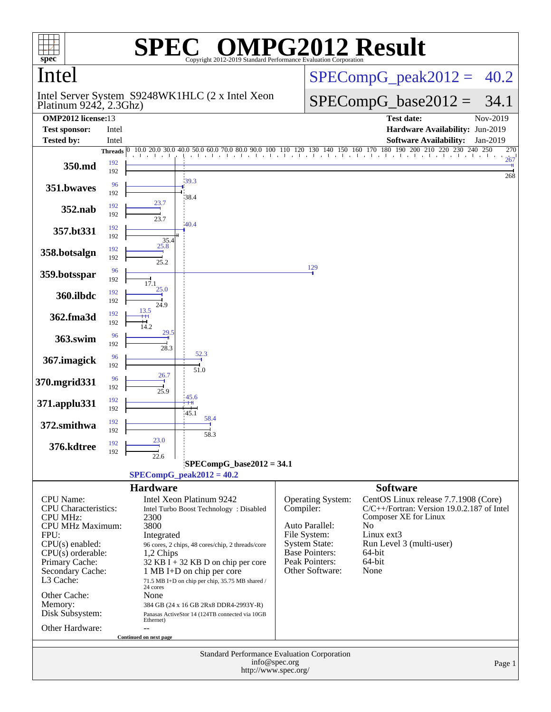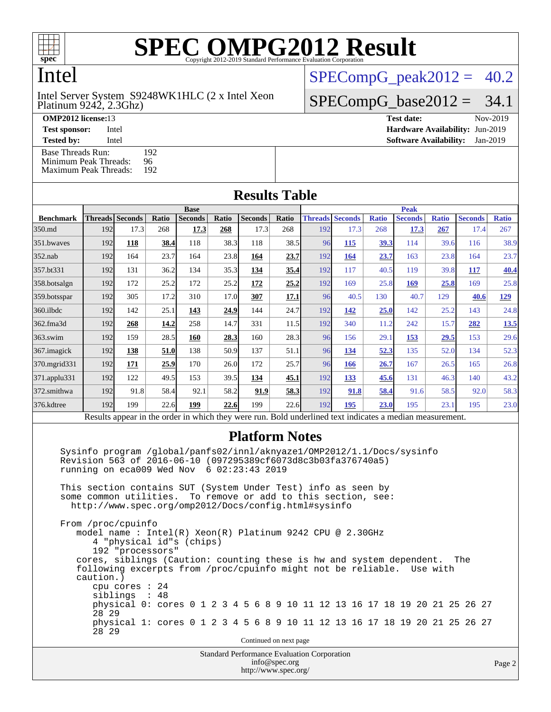

Intel

Platinum 9242, 2.3Ghz) Intel Server System S9248WK1HLC (2 x Intel Xeon  $SPECompG_peak2012 = 40.2$  $SPECompG_peak2012 = 40.2$ 

 $SPECompG_base2012 = 34.1$  $SPECompG_base2012 = 34.1$ 

[Base Threads Run:](http://www.spec.org/auto/omp2012/Docs/result-fields.html#BaseThreadsRun) 192<br>Minimum Peak Threads: 96 [Minimum Peak Threads:](http://www.spec.org/auto/omp2012/Docs/result-fields.html#MinimumPeakThreads)

[Maximum Peak Threads:](http://www.spec.org/auto/omp2012/Docs/result-fields.html#MaximumPeakThreads) 192

| <b>OMP2012 license:13</b> |       | Test date:                             | Nov-2019 |
|---------------------------|-------|----------------------------------------|----------|
| <b>Test sponsor:</b>      | Intel | <b>Hardware Availability: Jun-2019</b> |          |
| <b>Tested by:</b>         | Intel | <b>Software Availability:</b> Jan-2019 |          |

| <b>Results Table</b> |             |                        |       |                |             |                |       |     |                        |              |                |              |                |              |
|----------------------|-------------|------------------------|-------|----------------|-------------|----------------|-------|-----|------------------------|--------------|----------------|--------------|----------------|--------------|
|                      | <b>Base</b> |                        |       |                | <b>Peak</b> |                |       |     |                        |              |                |              |                |              |
| <b>Benchmark</b>     |             | <b>Threads</b> Seconds | Ratio | <b>Seconds</b> | Ratio       | <b>Seconds</b> | Ratio |     | <b>Threads Seconds</b> | <b>Ratio</b> | <b>Seconds</b> | <b>Ratio</b> | <b>Seconds</b> | <b>Ratio</b> |
| 350.md               | 192         | 17.3                   | 268   | 17.3           | 268         | 17.3           | 268   | 192 | 17.3                   | 268          | 17.3           | 267          | 17.4           | 267          |
| 351.bwayes           | 192         | 118                    | 38.4  | 118            | 38.3        | 118            | 38.5  | 96  | 115                    | <u>39.3</u>  | 114            | 39.6         | 116            | 38.9         |
| $352$ .nab           | 192         | 164                    | 23.7  | 164            | 23.8        | 164            | 23.7  | 192 | 164                    | 23.7         | 163            | 23.8         | 164            | 23.7         |
| 357.bt331            | 192         | 131                    | 36.2  | 134            | 35.3        | 134            | 35.4  | 192 | 117                    | 40.5         | 119            | 39.8         | 117            | 40.4         |
| 358.botsalgn         | 192         | 172                    | 25.2  | 172            | 25.2        | 172            | 25.2  | 192 | 169                    | 25.8         | 169            | 25.8         | 169            | 25.8         |
| 359.botsspar         | 192         | 305                    | 17.2  | 310            | 17.0        | 307            | 17.1  | 96  | 40.5                   | 130          | 40.7           | 129          | 40.6           | <u>129</u>   |
| 360.ilbdc            | 192         | 142                    | 25.1  | 143            | 24.9        | 144            | 24.7  | 192 | 142                    | 25.0         | 142            | 25.2         | 143            | 24.8         |
| 362.fma3d            | 192         | 268                    | 14.2  | 258            | 14.7        | 331            | 11.5  | 192 | 340                    | 11.2         | 242            | 15.7         | 282            | 13.5         |
| 363.swim             | 192         | 159                    | 28.5  | 160            | 28.3        | 160            | 28.3  | 96  | 156                    | 29.1         | 153            | 29.5         | 153            | 29.6         |
| 367.imagick          | 192         | 138                    | 51.0  | 138            | 50.9        | 137            | 51.1  | 96  | 134                    | 52.3         | 135            | 52.0         | 134            | 52.3         |
| 370.mgrid331         | 192         | 171                    | 25.9  | 170            | 26.0        | 172            | 25.7  | 96  | 166                    | 26.7         | 167            | 26.5         | 165            | 26.8         |
| 371.applu331         | 192         | 122                    | 49.5  | 153            | 39.5        | 134            | 45.1  | 192 | 133                    | 45.6         | 131            | 46.3         | 140            | 43.2         |
| 372.smithwa          | 192         | 91.8                   | 58.4  | 92.1           | 58.2        | 91.9           | 58.3  | 192 | 91.8                   | 58.4         | 91.6           | 58.5         | 92.0           | 58.3         |
| 376.kdtree           | 192         | 199                    | 22.6  | 199            | 22.6        | 199            | 22.6  | 192 | 195                    | 23.0         | 195            | 23.1         | 195            | 23.0         |

Results appear in the [order in which they were run.](http://www.spec.org/auto/omp2012/Docs/result-fields.html#RunOrder) Bold underlined text [indicates a median measurement.](http://www.spec.org/auto/omp2012/Docs/result-fields.html#Median)

#### **[Platform Notes](http://www.spec.org/auto/omp2012/Docs/result-fields.html#PlatformNotes)**

 Sysinfo program /global/panfs02/innl/aknyaze1/OMP2012/1.1/Docs/sysinfo Revision 563 of 2016-06-10 (097295389cf6073d8c3b03fa376740a5) running on eca009 Wed Nov 6 02:23:43 2019

 This section contains SUT (System Under Test) info as seen by some common utilities. To remove or add to this section, see: <http://www.spec.org/omp2012/Docs/config.html#sysinfo>

 From /proc/cpuinfo model name : Intel(R) Xeon(R) Platinum 9242 CPU @ 2.30GHz 4 "physical id"s (chips) 192 "processors" cores, siblings (Caution: counting these is hw and system dependent. The following excerpts from /proc/cpuinfo might not be reliable. Use with caution.) cpu cores : 24 siblings : 48 physical 0: cores 0 1 2 3 4 5 6 8 9 10 11 12 13 16 17 18 19 20 21 25 26 27 28 29 physical 1: cores 0 1 2 3 4 5 6 8 9 10 11 12 13 16 17 18 19 20 21 25 26 27 28 29 Continued on next page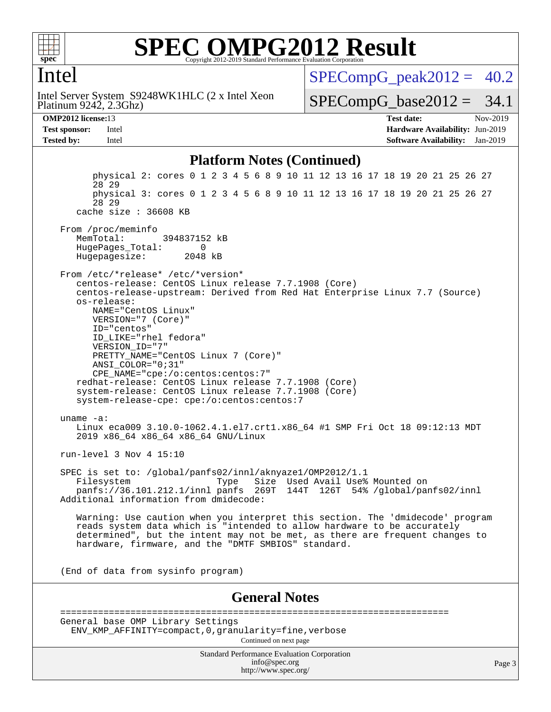

#### Intel

Platinum 9242, 2.3Ghz) Intel Server System S9248WK1HLC (2 x Intel Xeon  $SPECompG_peak2012 = 40.2$  $SPECompG_peak2012 = 40.2$ 

 $SPECompG_base2012 = 34.1$  $SPECompG_base2012 = 34.1$ 

**[OMP2012 license:](http://www.spec.org/auto/omp2012/Docs/result-fields.html#OMP2012license)**13 **[Test date:](http://www.spec.org/auto/omp2012/Docs/result-fields.html#Testdate)** Nov-2019 **[Test sponsor:](http://www.spec.org/auto/omp2012/Docs/result-fields.html#Testsponsor)** Intel **[Hardware Availability:](http://www.spec.org/auto/omp2012/Docs/result-fields.html#HardwareAvailability)** Jun-2019 **[Tested by:](http://www.spec.org/auto/omp2012/Docs/result-fields.html#Testedby)** Intel **[Software Availability:](http://www.spec.org/auto/omp2012/Docs/result-fields.html#SoftwareAvailability)** Jan-2019

#### **[Platform Notes \(Continued\)](http://www.spec.org/auto/omp2012/Docs/result-fields.html#PlatformNotes)**

Standard Performance Evaluation Corporation [info@spec.org](mailto:info@spec.org) <http://www.spec.org/> Page 3 physical 2: cores 0 1 2 3 4 5 6 8 9 10 11 12 13 16 17 18 19 20 21 25 26 27 28 29 physical 3: cores 0 1 2 3 4 5 6 8 9 10 11 12 13 16 17 18 19 20 21 25 26 27 28 29 cache size : 36608 KB From /proc/meminfo MemTotal: 394837152 kB HugePages\_Total: 0<br>Hugepagesize: 2048 kB Hugepagesize: From /etc/\*release\* /etc/\*version\* centos-release: CentOS Linux release 7.7.1908 (Core) centos-release-upstream: Derived from Red Hat Enterprise Linux 7.7 (Source) os-release: NAME="CentOS Linux" VERSION="7 (Core)" ID="centos" ID\_LIKE="rhel fedora" VERSION\_ID="7" PRETTY\_NAME="CentOS Linux 7 (Core)" ANSI\_COLOR="0;31" CPE\_NAME="cpe:/o:centos:centos:7" redhat-release: CentOS Linux release 7.7.1908 (Core) system-release: CentOS Linux release 7.7.1908 (Core) system-release-cpe: cpe:/o:centos:centos:7 uname -a: Linux eca009 3.10.0-1062.4.1.el7.crt1.x86 64 #1 SMP Fri Oct 18 09:12:13 MDT 2019 x86\_64 x86\_64 x86\_64 GNU/Linux run-level 3 Nov 4 15:10 SPEC is set to: /global/panfs02/innl/aknyaze1/OMP2012/1.1 Filesystem Type Size Used Avail Use% Mounted on panfs://36.101.212.1/innl panfs 269T 144T 126T 54% /global/panfs02/innl Additional information from dmidecode: Warning: Use caution when you interpret this section. The 'dmidecode' program reads system data which is "intended to allow hardware to be accurately determined", but the intent may not be met, as there are frequent changes to hardware, firmware, and the "DMTF SMBIOS" standard. (End of data from sysinfo program) **[General Notes](http://www.spec.org/auto/omp2012/Docs/result-fields.html#GeneralNotes)** ======================================================================== General base OMP Library Settings ENV\_KMP\_AFFINITY=compact,0,granularity=fine,verbose Continued on next page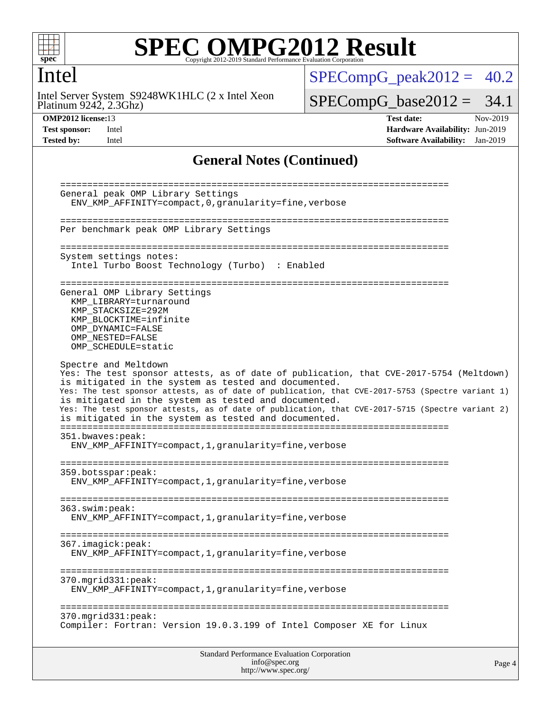

#### Intel

Platinum 9242, 2.3Ghz) Intel Server System S9248WK1HLC (2 x Intel Xeon  $SPECompG_peak2012 = 40.2$  $SPECompG_peak2012 = 40.2$ 

 $SPECompG_base2012 = 34.1$  $SPECompG_base2012 = 34.1$ 

**[OMP2012 license:](http://www.spec.org/auto/omp2012/Docs/result-fields.html#OMP2012license)**13 **[Test date:](http://www.spec.org/auto/omp2012/Docs/result-fields.html#Testdate)** Nov-2019 **[Test sponsor:](http://www.spec.org/auto/omp2012/Docs/result-fields.html#Testsponsor)** Intel **[Hardware Availability:](http://www.spec.org/auto/omp2012/Docs/result-fields.html#HardwareAvailability)** Jun-2019 **[Tested by:](http://www.spec.org/auto/omp2012/Docs/result-fields.html#Testedby)** Intel **[Software Availability:](http://www.spec.org/auto/omp2012/Docs/result-fields.html#SoftwareAvailability)** Jan-2019

#### **[General Notes \(Continued\)](http://www.spec.org/auto/omp2012/Docs/result-fields.html#GeneralNotes)**

| 370.mgrid331:peak:<br>Compiler: Fortran: Version 19.0.3.199 of Intel Composer XE for Linux                                                                                                                                                                                                                                                                                   |  |
|------------------------------------------------------------------------------------------------------------------------------------------------------------------------------------------------------------------------------------------------------------------------------------------------------------------------------------------------------------------------------|--|
| 370.mgrid331:peak:<br>ENV_KMP_AFFINITY=compact,1,granularity=fine,verbose                                                                                                                                                                                                                                                                                                    |  |
| 367.imagick:peak:<br>ENV_KMP_AFFINITY=compact, 1, granularity=fine, verbose                                                                                                                                                                                                                                                                                                  |  |
| 363.swin:peak:<br>ENV_KMP_AFFINITY=compact, 1, granularity=fine, verbose                                                                                                                                                                                                                                                                                                     |  |
| 359.botsspar: peak:<br>ENV_KMP_AFFINITY=compact, 1, granularity=fine, verbose                                                                                                                                                                                                                                                                                                |  |
| 351.bwaves:peak:<br>ENV_KMP_AFFINITY=compact, 1, granularity=fine, verbose                                                                                                                                                                                                                                                                                                   |  |
| is mitigated in the system as tested and documented.<br>Yes: The test sponsor attests, as of date of publication, that CVE-2017-5753 (Spectre variant 1)<br>is mitigated in the system as tested and documented.<br>Yes: The test sponsor attests, as of date of publication, that CVE-2017-5715 (Spectre variant 2)<br>is mitigated in the system as tested and documented. |  |
| Spectre and Meltdown<br>Yes: The test sponsor attests, as of date of publication, that CVE-2017-5754 (Meltdown)                                                                                                                                                                                                                                                              |  |
| General OMP Library Settings<br>KMP_LIBRARY=turnaround<br>KMP_STACKSIZE=292M<br>KMP_BLOCKTIME=infinite<br>OMP DYNAMIC=FALSE<br>OMP NESTED=FALSE<br>OMP_SCHEDULE=static                                                                                                                                                                                                       |  |
| System settings notes:<br>Intel Turbo Boost Technology (Turbo) : Enabled                                                                                                                                                                                                                                                                                                     |  |
|                                                                                                                                                                                                                                                                                                                                                                              |  |
| Per benchmark peak OMP Library Settings                                                                                                                                                                                                                                                                                                                                      |  |
|                                                                                                                                                                                                                                                                                                                                                                              |  |
| General peak OMP Library Settings<br>ENV_KMP_AFFINITY=compact, 0, granularity=fine, verbose                                                                                                                                                                                                                                                                                  |  |

<http://www.spec.org/>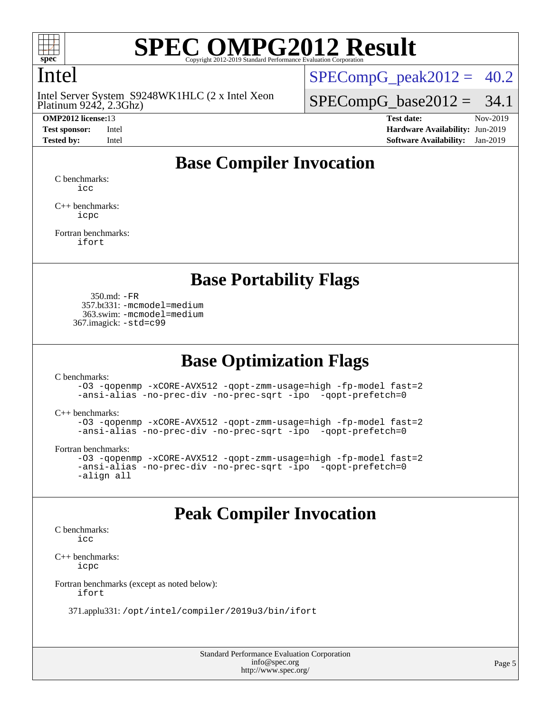

## Intel

Platinum 9242, 2.3Ghz) Intel Server System S9248WK1HLC (2 x Intel Xeon

 $SPECompG_peak2012 = 40.2$  $SPECompG_peak2012 = 40.2$ 

 $SPECompG_base2012 = 34.1$  $SPECompG_base2012 = 34.1$ 

**[OMP2012 license:](http://www.spec.org/auto/omp2012/Docs/result-fields.html#OMP2012license)**13 **[Test date:](http://www.spec.org/auto/omp2012/Docs/result-fields.html#Testdate)** Nov-2019 **[Test sponsor:](http://www.spec.org/auto/omp2012/Docs/result-fields.html#Testsponsor)** Intel **[Hardware Availability:](http://www.spec.org/auto/omp2012/Docs/result-fields.html#HardwareAvailability)** Jun-2019 **[Tested by:](http://www.spec.org/auto/omp2012/Docs/result-fields.html#Testedby)** Intel **[Software Availability:](http://www.spec.org/auto/omp2012/Docs/result-fields.html#SoftwareAvailability)** Jan-2019

## **[Base Compiler Invocation](http://www.spec.org/auto/omp2012/Docs/result-fields.html#BaseCompilerInvocation)**

[C benchmarks](http://www.spec.org/auto/omp2012/Docs/result-fields.html#Cbenchmarks): [icc](http://www.spec.org/omp2012/results/res2019q4/omp2012-20191203-00190.flags.html#user_CCbase_intel_icc_a87c68a857bc5ec5362391a49d3a37a6)

[C++ benchmarks:](http://www.spec.org/auto/omp2012/Docs/result-fields.html#CXXbenchmarks) [icpc](http://www.spec.org/omp2012/results/res2019q4/omp2012-20191203-00190.flags.html#user_CXXbase_intel_icpc_2d899f8d163502b12eb4a60069f80c1c)

[Fortran benchmarks](http://www.spec.org/auto/omp2012/Docs/result-fields.html#Fortranbenchmarks): [ifort](http://www.spec.org/omp2012/results/res2019q4/omp2012-20191203-00190.flags.html#user_FCbase_intel_ifort_8a5e5e06b19a251bdeaf8fdab5d62f20)

#### **[Base Portability Flags](http://www.spec.org/auto/omp2012/Docs/result-fields.html#BasePortabilityFlags)**

 350.md: [-FR](http://www.spec.org/omp2012/results/res2019q4/omp2012-20191203-00190.flags.html#user_baseFPORTABILITY350_md_f-FR) 357.bt331: [-mcmodel=medium](http://www.spec.org/omp2012/results/res2019q4/omp2012-20191203-00190.flags.html#user_basePORTABILITY357_bt331_f-mcmodel_3a41622424bdd074c4f0f2d2f224c7e5) 363.swim: [-mcmodel=medium](http://www.spec.org/omp2012/results/res2019q4/omp2012-20191203-00190.flags.html#user_basePORTABILITY363_swim_f-mcmodel_3a41622424bdd074c4f0f2d2f224c7e5) 367.imagick: [-std=c99](http://www.spec.org/omp2012/results/res2019q4/omp2012-20191203-00190.flags.html#user_baseCPORTABILITY367_imagick_f-std_2ec6533b6e06f1c4a6c9b78d9e9cde24)

#### **[Base Optimization Flags](http://www.spec.org/auto/omp2012/Docs/result-fields.html#BaseOptimizationFlags)**

[C benchmarks](http://www.spec.org/auto/omp2012/Docs/result-fields.html#Cbenchmarks):

[-O3](http://www.spec.org/omp2012/results/res2019q4/omp2012-20191203-00190.flags.html#user_CCbase_f-O3) [-qopenmp](http://www.spec.org/omp2012/results/res2019q4/omp2012-20191203-00190.flags.html#user_CCbase_f-qopenmp) [-xCORE-AVX512](http://www.spec.org/omp2012/results/res2019q4/omp2012-20191203-00190.flags.html#user_CCbase_f-xCORE-AVX512) [-qopt-zmm-usage=high](http://www.spec.org/omp2012/results/res2019q4/omp2012-20191203-00190.flags.html#user_CCbase_f-qopt-zmm-usage_213d857421e75f2db2f896f7900465fb) [-fp-model fast=2](http://www.spec.org/omp2012/results/res2019q4/omp2012-20191203-00190.flags.html#user_CCbase_f-fp-model_a7fb8ccb7275e23f0079632c153cfcab) [-ansi-alias](http://www.spec.org/omp2012/results/res2019q4/omp2012-20191203-00190.flags.html#user_CCbase_f-ansi-alias) [-no-prec-div](http://www.spec.org/omp2012/results/res2019q4/omp2012-20191203-00190.flags.html#user_CCbase_f-no-prec-div) [-no-prec-sqrt](http://www.spec.org/omp2012/results/res2019q4/omp2012-20191203-00190.flags.html#user_CCbase_f-no-prec-sqrt) [-ipo](http://www.spec.org/omp2012/results/res2019q4/omp2012-20191203-00190.flags.html#user_CCbase_f-ipo_84062ab53814f613187d02344b8f49a7) [-qopt-prefetch=0](http://www.spec.org/omp2012/results/res2019q4/omp2012-20191203-00190.flags.html#user_CCbase_f-qopt-prefetch_ce172c705aa924d14c76f32fff3f4886)

[C++ benchmarks:](http://www.spec.org/auto/omp2012/Docs/result-fields.html#CXXbenchmarks)

```
-O3 -qopenmp -xCORE-AVX512 -qopt-zmm-usage=high -fp-model fast=2
-ansi-alias -no-prec-div -no-prec-sqrt -ipo -qopt-prefetch=0
```
[Fortran benchmarks](http://www.spec.org/auto/omp2012/Docs/result-fields.html#Fortranbenchmarks):

```
-O3 -qopenmp -xCORE-AVX512 -qopt-zmm-usage=high -fp-model fast=2
-ansi-alias -no-prec-div -no-prec-sqrt -ipo -qopt-prefetch=0
-align all
```
#### **[Peak Compiler Invocation](http://www.spec.org/auto/omp2012/Docs/result-fields.html#PeakCompilerInvocation)**

[C benchmarks](http://www.spec.org/auto/omp2012/Docs/result-fields.html#Cbenchmarks): [icc](http://www.spec.org/omp2012/results/res2019q4/omp2012-20191203-00190.flags.html#user_CCpeak_intel_icc_a87c68a857bc5ec5362391a49d3a37a6)

[C++ benchmarks:](http://www.spec.org/auto/omp2012/Docs/result-fields.html#CXXbenchmarks) [icpc](http://www.spec.org/omp2012/results/res2019q4/omp2012-20191203-00190.flags.html#user_CXXpeak_intel_icpc_2d899f8d163502b12eb4a60069f80c1c)

[Fortran benchmarks \(except as noted below\)](http://www.spec.org/auto/omp2012/Docs/result-fields.html#Fortranbenchmarksexceptasnotedbelow):

[ifort](http://www.spec.org/omp2012/results/res2019q4/omp2012-20191203-00190.flags.html#user_FCpeak_intel_ifort_8a5e5e06b19a251bdeaf8fdab5d62f20)

371.applu331: [/opt/intel/compiler/2019u3/bin/ifort](http://www.spec.org/omp2012/results/res2019q4/omp2012-20191203-00190.flags.html#user_peakFCLD371_applu331_intel_ifort_127b420565c1394e637c1e89ff0e5a0e)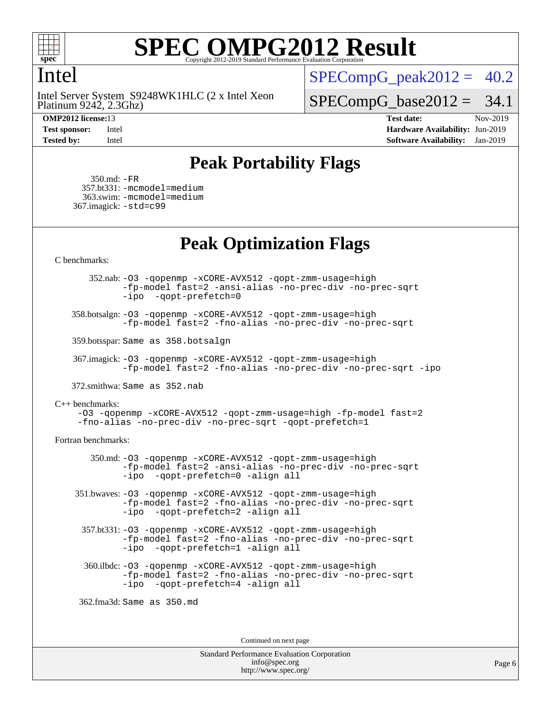

#### Intel

Platinum 9242, 2.3Ghz) Intel Server System S9248WK1HLC (2 x Intel Xeon

 $SPECompG<sub>peak2012</sub> = 40.2$ 

 $SPECompG_base2012 = 34.1$  $SPECompG_base2012 = 34.1$ 

**[OMP2012 license:](http://www.spec.org/auto/omp2012/Docs/result-fields.html#OMP2012license)**13 **[Test date:](http://www.spec.org/auto/omp2012/Docs/result-fields.html#Testdate)** Nov-2019 **[Test sponsor:](http://www.spec.org/auto/omp2012/Docs/result-fields.html#Testsponsor)** Intel **[Hardware Availability:](http://www.spec.org/auto/omp2012/Docs/result-fields.html#HardwareAvailability)** Jun-2019 **[Tested by:](http://www.spec.org/auto/omp2012/Docs/result-fields.html#Testedby)** Intel **[Software Availability:](http://www.spec.org/auto/omp2012/Docs/result-fields.html#SoftwareAvailability)** Jan-2019

## **[Peak Portability Flags](http://www.spec.org/auto/omp2012/Docs/result-fields.html#PeakPortabilityFlags)**

 350.md: [-FR](http://www.spec.org/omp2012/results/res2019q4/omp2012-20191203-00190.flags.html#user_peakFPORTABILITY350_md_f-FR) 357.bt331: [-mcmodel=medium](http://www.spec.org/omp2012/results/res2019q4/omp2012-20191203-00190.flags.html#user_peakPORTABILITY357_bt331_f-mcmodel_3a41622424bdd074c4f0f2d2f224c7e5) 363.swim: [-mcmodel=medium](http://www.spec.org/omp2012/results/res2019q4/omp2012-20191203-00190.flags.html#user_peakPORTABILITY363_swim_f-mcmodel_3a41622424bdd074c4f0f2d2f224c7e5) 367.imagick: [-std=c99](http://www.spec.org/omp2012/results/res2019q4/omp2012-20191203-00190.flags.html#user_peakCPORTABILITY367_imagick_f-std_2ec6533b6e06f1c4a6c9b78d9e9cde24)

## **[Peak Optimization Flags](http://www.spec.org/auto/omp2012/Docs/result-fields.html#PeakOptimizationFlags)**

[C benchmarks](http://www.spec.org/auto/omp2012/Docs/result-fields.html#Cbenchmarks):

 352.nab: [-O3](http://www.spec.org/omp2012/results/res2019q4/omp2012-20191203-00190.flags.html#user_peakOPTIMIZE352_nab_f-O3) [-qopenmp](http://www.spec.org/omp2012/results/res2019q4/omp2012-20191203-00190.flags.html#user_peakOPTIMIZE352_nab_f-qopenmp) [-xCORE-AVX512](http://www.spec.org/omp2012/results/res2019q4/omp2012-20191203-00190.flags.html#user_peakOPTIMIZE352_nab_f-xCORE-AVX512) [-qopt-zmm-usage=high](http://www.spec.org/omp2012/results/res2019q4/omp2012-20191203-00190.flags.html#user_peakOPTIMIZE352_nab_f-qopt-zmm-usage_213d857421e75f2db2f896f7900465fb) [-fp-model fast=2](http://www.spec.org/omp2012/results/res2019q4/omp2012-20191203-00190.flags.html#user_peakOPTIMIZE352_nab_f-fp-model_a7fb8ccb7275e23f0079632c153cfcab) [-ansi-alias](http://www.spec.org/omp2012/results/res2019q4/omp2012-20191203-00190.flags.html#user_peakOPTIMIZE352_nab_f-ansi-alias) [-no-prec-div](http://www.spec.org/omp2012/results/res2019q4/omp2012-20191203-00190.flags.html#user_peakOPTIMIZE352_nab_f-no-prec-div) [-no-prec-sqrt](http://www.spec.org/omp2012/results/res2019q4/omp2012-20191203-00190.flags.html#user_peakOPTIMIZE352_nab_f-no-prec-sqrt) [-ipo](http://www.spec.org/omp2012/results/res2019q4/omp2012-20191203-00190.flags.html#user_peakOPTIMIZE352_nab_f-ipo_84062ab53814f613187d02344b8f49a7) [-qopt-prefetch=0](http://www.spec.org/omp2012/results/res2019q4/omp2012-20191203-00190.flags.html#user_peakOPTIMIZE352_nab_f-qopt-prefetch_ce172c705aa924d14c76f32fff3f4886)

 358.botsalgn: [-O3](http://www.spec.org/omp2012/results/res2019q4/omp2012-20191203-00190.flags.html#user_peakOPTIMIZE358_botsalgn_f-O3) [-qopenmp](http://www.spec.org/omp2012/results/res2019q4/omp2012-20191203-00190.flags.html#user_peakOPTIMIZE358_botsalgn_f-qopenmp) [-xCORE-AVX512](http://www.spec.org/omp2012/results/res2019q4/omp2012-20191203-00190.flags.html#user_peakOPTIMIZE358_botsalgn_f-xCORE-AVX512) [-qopt-zmm-usage=high](http://www.spec.org/omp2012/results/res2019q4/omp2012-20191203-00190.flags.html#user_peakOPTIMIZE358_botsalgn_f-qopt-zmm-usage_213d857421e75f2db2f896f7900465fb) [-fp-model fast=2](http://www.spec.org/omp2012/results/res2019q4/omp2012-20191203-00190.flags.html#user_peakOPTIMIZE358_botsalgn_f-fp-model_a7fb8ccb7275e23f0079632c153cfcab) [-fno-alias](http://www.spec.org/omp2012/results/res2019q4/omp2012-20191203-00190.flags.html#user_peakOPTIMIZE358_botsalgn_f-no-alias_694e77f6c5a51e658e82ccff53a9e63a) [-no-prec-div](http://www.spec.org/omp2012/results/res2019q4/omp2012-20191203-00190.flags.html#user_peakOPTIMIZE358_botsalgn_f-no-prec-div) [-no-prec-sqrt](http://www.spec.org/omp2012/results/res2019q4/omp2012-20191203-00190.flags.html#user_peakOPTIMIZE358_botsalgn_f-no-prec-sqrt)

359.botsspar: Same as 358.botsalgn

 367.imagick: [-O3](http://www.spec.org/omp2012/results/res2019q4/omp2012-20191203-00190.flags.html#user_peakOPTIMIZE367_imagick_f-O3) [-qopenmp](http://www.spec.org/omp2012/results/res2019q4/omp2012-20191203-00190.flags.html#user_peakOPTIMIZE367_imagick_f-qopenmp) [-xCORE-AVX512](http://www.spec.org/omp2012/results/res2019q4/omp2012-20191203-00190.flags.html#user_peakOPTIMIZE367_imagick_f-xCORE-AVX512) [-qopt-zmm-usage=high](http://www.spec.org/omp2012/results/res2019q4/omp2012-20191203-00190.flags.html#user_peakOPTIMIZE367_imagick_f-qopt-zmm-usage_213d857421e75f2db2f896f7900465fb) [-fp-model fast=2](http://www.spec.org/omp2012/results/res2019q4/omp2012-20191203-00190.flags.html#user_peakOPTIMIZE367_imagick_f-fp-model_a7fb8ccb7275e23f0079632c153cfcab) [-fno-alias](http://www.spec.org/omp2012/results/res2019q4/omp2012-20191203-00190.flags.html#user_peakOPTIMIZE367_imagick_f-no-alias_694e77f6c5a51e658e82ccff53a9e63a) [-no-prec-div](http://www.spec.org/omp2012/results/res2019q4/omp2012-20191203-00190.flags.html#user_peakOPTIMIZE367_imagick_f-no-prec-div) [-no-prec-sqrt](http://www.spec.org/omp2012/results/res2019q4/omp2012-20191203-00190.flags.html#user_peakOPTIMIZE367_imagick_f-no-prec-sqrt) [-ipo](http://www.spec.org/omp2012/results/res2019q4/omp2012-20191203-00190.flags.html#user_peakOPTIMIZE367_imagick_f-ipo)

372.smithwa: Same as 352.nab

[C++ benchmarks:](http://www.spec.org/auto/omp2012/Docs/result-fields.html#CXXbenchmarks)

[-O3](http://www.spec.org/omp2012/results/res2019q4/omp2012-20191203-00190.flags.html#user_CXXpeak_f-O3) [-qopenmp](http://www.spec.org/omp2012/results/res2019q4/omp2012-20191203-00190.flags.html#user_CXXpeak_f-qopenmp) [-xCORE-AVX512](http://www.spec.org/omp2012/results/res2019q4/omp2012-20191203-00190.flags.html#user_CXXpeak_f-xCORE-AVX512) [-qopt-zmm-usage=high](http://www.spec.org/omp2012/results/res2019q4/omp2012-20191203-00190.flags.html#user_CXXpeak_f-qopt-zmm-usage_213d857421e75f2db2f896f7900465fb) [-fp-model fast=2](http://www.spec.org/omp2012/results/res2019q4/omp2012-20191203-00190.flags.html#user_CXXpeak_f-fp-model_a7fb8ccb7275e23f0079632c153cfcab) [-fno-alias](http://www.spec.org/omp2012/results/res2019q4/omp2012-20191203-00190.flags.html#user_CXXpeak_f-no-alias_694e77f6c5a51e658e82ccff53a9e63a) [-no-prec-div](http://www.spec.org/omp2012/results/res2019q4/omp2012-20191203-00190.flags.html#user_CXXpeak_f-no-prec-div) [-no-prec-sqrt](http://www.spec.org/omp2012/results/res2019q4/omp2012-20191203-00190.flags.html#user_CXXpeak_f-no-prec-sqrt) [-qopt-prefetch=1](http://www.spec.org/omp2012/results/res2019q4/omp2012-20191203-00190.flags.html#user_CXXpeak_f-qopt-prefetch_9097ad9b78e4401c727c33237ff25d7e)

[Fortran benchmarks](http://www.spec.org/auto/omp2012/Docs/result-fields.html#Fortranbenchmarks):

 350.md: [-O3](http://www.spec.org/omp2012/results/res2019q4/omp2012-20191203-00190.flags.html#user_peakOPTIMIZE350_md_f-O3) [-qopenmp](http://www.spec.org/omp2012/results/res2019q4/omp2012-20191203-00190.flags.html#user_peakOPTIMIZE350_md_f-qopenmp) [-xCORE-AVX512](http://www.spec.org/omp2012/results/res2019q4/omp2012-20191203-00190.flags.html#user_peakOPTIMIZE350_md_f-xCORE-AVX512) [-qopt-zmm-usage=high](http://www.spec.org/omp2012/results/res2019q4/omp2012-20191203-00190.flags.html#user_peakOPTIMIZE350_md_f-qopt-zmm-usage_213d857421e75f2db2f896f7900465fb) [-fp-model fast=2](http://www.spec.org/omp2012/results/res2019q4/omp2012-20191203-00190.flags.html#user_peakOPTIMIZE350_md_f-fp-model_a7fb8ccb7275e23f0079632c153cfcab) [-ansi-alias](http://www.spec.org/omp2012/results/res2019q4/omp2012-20191203-00190.flags.html#user_peakOPTIMIZE350_md_f-ansi-alias) [-no-prec-div](http://www.spec.org/omp2012/results/res2019q4/omp2012-20191203-00190.flags.html#user_peakOPTIMIZE350_md_f-no-prec-div) [-no-prec-sqrt](http://www.spec.org/omp2012/results/res2019q4/omp2012-20191203-00190.flags.html#user_peakOPTIMIZE350_md_f-no-prec-sqrt) [-ipo](http://www.spec.org/omp2012/results/res2019q4/omp2012-20191203-00190.flags.html#user_peakOPTIMIZE350_md_f-ipo_84062ab53814f613187d02344b8f49a7) [-qopt-prefetch=0](http://www.spec.org/omp2012/results/res2019q4/omp2012-20191203-00190.flags.html#user_peakOPTIMIZE350_md_f-qopt-prefetch_ce172c705aa924d14c76f32fff3f4886) [-align all](http://www.spec.org/omp2012/results/res2019q4/omp2012-20191203-00190.flags.html#user_peakFOPTIMIZE350_md_f-align_1ebfa66158b49aff21b037afc4046011)

 351.bwaves: [-O3](http://www.spec.org/omp2012/results/res2019q4/omp2012-20191203-00190.flags.html#user_peakOPTIMIZE351_bwaves_f-O3) [-qopenmp](http://www.spec.org/omp2012/results/res2019q4/omp2012-20191203-00190.flags.html#user_peakOPTIMIZE351_bwaves_f-qopenmp) [-xCORE-AVX512](http://www.spec.org/omp2012/results/res2019q4/omp2012-20191203-00190.flags.html#user_peakOPTIMIZE351_bwaves_f-xCORE-AVX512) [-qopt-zmm-usage=high](http://www.spec.org/omp2012/results/res2019q4/omp2012-20191203-00190.flags.html#user_peakOPTIMIZE351_bwaves_f-qopt-zmm-usage_213d857421e75f2db2f896f7900465fb) [-fp-model fast=2](http://www.spec.org/omp2012/results/res2019q4/omp2012-20191203-00190.flags.html#user_peakOPTIMIZE351_bwaves_f-fp-model_a7fb8ccb7275e23f0079632c153cfcab) [-fno-alias](http://www.spec.org/omp2012/results/res2019q4/omp2012-20191203-00190.flags.html#user_peakOPTIMIZE351_bwaves_f-no-alias_694e77f6c5a51e658e82ccff53a9e63a) [-no-prec-div](http://www.spec.org/omp2012/results/res2019q4/omp2012-20191203-00190.flags.html#user_peakOPTIMIZE351_bwaves_f-no-prec-div) [-no-prec-sqrt](http://www.spec.org/omp2012/results/res2019q4/omp2012-20191203-00190.flags.html#user_peakOPTIMIZE351_bwaves_f-no-prec-sqrt) [-ipo](http://www.spec.org/omp2012/results/res2019q4/omp2012-20191203-00190.flags.html#user_peakOPTIMIZE351_bwaves_f-ipo_84062ab53814f613187d02344b8f49a7) [-qopt-prefetch=2](http://www.spec.org/omp2012/results/res2019q4/omp2012-20191203-00190.flags.html#user_peakOPTIMIZE351_bwaves_f-qopt-prefetch_5dd8eff5680869f15030b88dfb173050) [-align all](http://www.spec.org/omp2012/results/res2019q4/omp2012-20191203-00190.flags.html#user_peakFOPTIMIZE351_bwaves_f-align_1ebfa66158b49aff21b037afc4046011)

 357.bt331: [-O3](http://www.spec.org/omp2012/results/res2019q4/omp2012-20191203-00190.flags.html#user_peakOPTIMIZE357_bt331_f-O3) [-qopenmp](http://www.spec.org/omp2012/results/res2019q4/omp2012-20191203-00190.flags.html#user_peakOPTIMIZE357_bt331_f-qopenmp) [-xCORE-AVX512](http://www.spec.org/omp2012/results/res2019q4/omp2012-20191203-00190.flags.html#user_peakOPTIMIZE357_bt331_f-xCORE-AVX512) [-qopt-zmm-usage=high](http://www.spec.org/omp2012/results/res2019q4/omp2012-20191203-00190.flags.html#user_peakOPTIMIZE357_bt331_f-qopt-zmm-usage_213d857421e75f2db2f896f7900465fb) [-fp-model fast=2](http://www.spec.org/omp2012/results/res2019q4/omp2012-20191203-00190.flags.html#user_peakOPTIMIZE357_bt331_f-fp-model_a7fb8ccb7275e23f0079632c153cfcab) [-fno-alias](http://www.spec.org/omp2012/results/res2019q4/omp2012-20191203-00190.flags.html#user_peakOPTIMIZE357_bt331_f-no-alias_694e77f6c5a51e658e82ccff53a9e63a) [-no-prec-div](http://www.spec.org/omp2012/results/res2019q4/omp2012-20191203-00190.flags.html#user_peakOPTIMIZE357_bt331_f-no-prec-div) [-no-prec-sqrt](http://www.spec.org/omp2012/results/res2019q4/omp2012-20191203-00190.flags.html#user_peakOPTIMIZE357_bt331_f-no-prec-sqrt) [-ipo](http://www.spec.org/omp2012/results/res2019q4/omp2012-20191203-00190.flags.html#user_peakOPTIMIZE357_bt331_f-ipo_84062ab53814f613187d02344b8f49a7) [-qopt-prefetch=1](http://www.spec.org/omp2012/results/res2019q4/omp2012-20191203-00190.flags.html#user_peakOPTIMIZE357_bt331_f-qopt-prefetch_9097ad9b78e4401c727c33237ff25d7e) [-align all](http://www.spec.org/omp2012/results/res2019q4/omp2012-20191203-00190.flags.html#user_peakFOPTIMIZE357_bt331_f-align_1ebfa66158b49aff21b037afc4046011)

 360.ilbdc: [-O3](http://www.spec.org/omp2012/results/res2019q4/omp2012-20191203-00190.flags.html#user_peakOPTIMIZE360_ilbdc_f-O3) [-qopenmp](http://www.spec.org/omp2012/results/res2019q4/omp2012-20191203-00190.flags.html#user_peakOPTIMIZE360_ilbdc_f-qopenmp) [-xCORE-AVX512](http://www.spec.org/omp2012/results/res2019q4/omp2012-20191203-00190.flags.html#user_peakOPTIMIZE360_ilbdc_f-xCORE-AVX512) [-qopt-zmm-usage=high](http://www.spec.org/omp2012/results/res2019q4/omp2012-20191203-00190.flags.html#user_peakOPTIMIZE360_ilbdc_f-qopt-zmm-usage_213d857421e75f2db2f896f7900465fb) [-fp-model fast=2](http://www.spec.org/omp2012/results/res2019q4/omp2012-20191203-00190.flags.html#user_peakOPTIMIZE360_ilbdc_f-fp-model_a7fb8ccb7275e23f0079632c153cfcab) [-fno-alias](http://www.spec.org/omp2012/results/res2019q4/omp2012-20191203-00190.flags.html#user_peakOPTIMIZE360_ilbdc_f-no-alias_694e77f6c5a51e658e82ccff53a9e63a) [-no-prec-div](http://www.spec.org/omp2012/results/res2019q4/omp2012-20191203-00190.flags.html#user_peakOPTIMIZE360_ilbdc_f-no-prec-div) [-no-prec-sqrt](http://www.spec.org/omp2012/results/res2019q4/omp2012-20191203-00190.flags.html#user_peakOPTIMIZE360_ilbdc_f-no-prec-sqrt) [-ipo](http://www.spec.org/omp2012/results/res2019q4/omp2012-20191203-00190.flags.html#user_peakOPTIMIZE360_ilbdc_f-ipo_84062ab53814f613187d02344b8f49a7) [-qopt-prefetch=4](http://www.spec.org/omp2012/results/res2019q4/omp2012-20191203-00190.flags.html#user_peakOPTIMIZE360_ilbdc_f-qopt-prefetch_45f10e083f30a80e5aadab0211b1bca7) [-align all](http://www.spec.org/omp2012/results/res2019q4/omp2012-20191203-00190.flags.html#user_peakFOPTIMIZE360_ilbdc_f-align_1ebfa66158b49aff21b037afc4046011)

362.fma3d: Same as 350.md

Continued on next page